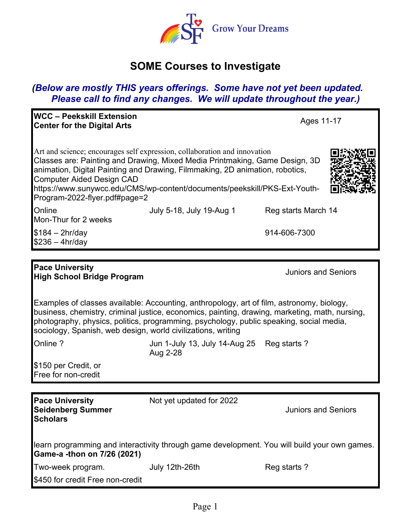

# **SOME Courses to Investigate**

## *(Below are mostly THIS years offerings. Some have not yet been updated. Please call to find any changes. We will update throughout the year.)*

| <b>WCC – Peekskill Extension</b><br><b>Center for the Digital Arts</b> |                                                                                                                                                                                                                                                                                                                       | Ages 11-17          |
|------------------------------------------------------------------------|-----------------------------------------------------------------------------------------------------------------------------------------------------------------------------------------------------------------------------------------------------------------------------------------------------------------------|---------------------|
| Computer Aided Design CAD<br>Program-2022-flyer.pdf#page=2             | Art and science; encourages self expression, collaboration and innovation<br>Classes are: Painting and Drawing, Mixed Media Printmaking, Game Design, 3D<br>animation, Digital Painting and Drawing, Filmmaking, 2D animation, robotics,<br>https://www.sunywcc.edu/CMS/wp-content/documents/peekskill/PKS-Ext-Youth- |                     |
| <b>Online</b><br>Mon-Thur for 2 weeks                                  | July 5-18, July 19-Aug 1                                                                                                                                                                                                                                                                                              | Reg starts March 14 |
| $$184 - 2hr/day$<br>$$236 - 4hr/day$                                   |                                                                                                                                                                                                                                                                                                                       | 914-606-7300        |

#### **Pace University High School Bridge Program** Juniors and Seniors

Examples of classes available: Accounting, anthropology, art of film, astronomy, biology, business, chemistry, criminal justice, economics, painting, drawing, marketing, math, nursing, photography, physics, politics, programming, psychology, public speaking, social media, sociology, Spanish, web design, world civilizations, writing

**Scholars**

Online ? Contains the Mun 1-July 13, July 14-Aug 25 Reg starts ? Aug 2-28

\$150 per Credit, or Free for non-credit

**Pace University Seidenberg Summer**  Not yet updated for 2022

Juniors and Seniors

| learn programming and interactivity through game development. You will build your own games. |  |  |
|----------------------------------------------------------------------------------------------|--|--|
| Game-a -thon on 7/26 (2021)                                                                  |  |  |

| Two-week program.                | July 12th-26th | Reg starts? |
|----------------------------------|----------------|-------------|
| \$450 for credit Free non-credit |                |             |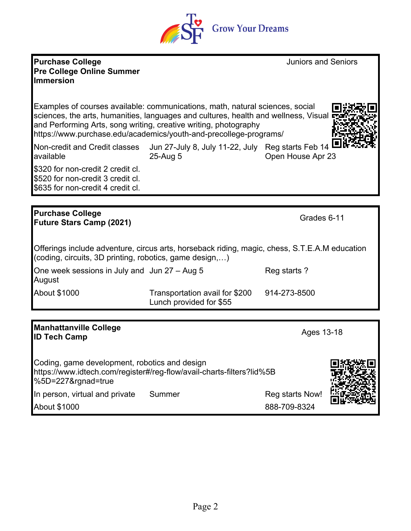### **Purchase College Pre College Online Summer Immersion**

Examples of courses available: communications, math, natural sciences, social sciences, the arts, humanities, languages and cultures, health and wellness, Visual and Performing Arts, song writing, creative writing, photography https://www.purchase.edu/academics/youth-and-precollege-programs/

Non-credit and Credit classes available Jun 27-July 8, July 11-22, July Reg starts Feb 14 25-Aug 5 Open House Apr 23

\$320 for non-credit 2 credit cl. \$520 for non-credit 3 credit cl. \$635 for non-credit 4 credit cl.

#### **Purchase College Future Stars Camp (2021)** Grades 6-11

Offerings include adventure, circus arts, horseback riding, magic, chess, S.T.E.A.M education (coding, circuits, 3D printing, robotics, game design,…)

One week sessions in July and Jun 27 – Aug 5 Reg starts? August About \$1000 Transportation avail for \$200 Lunch provided for \$55 914-273-8500

## **Manhattanville College ID Tech Camp Conege Constant Converter Constant Constant Constant Constant Constant Constant Constant Constant Constant Constant Constant Constant Constant Constant Constant Constant Constant Constant Constant Constan**

Coding, game development, robotics and design https://www.idtech.com/register#/reg-flow/avail-charts-filters?lid%5B %5D=227&rgnad=true In person, virtual and private Summer Summer Reg starts Now!

About \$1000 888-709-8324





Juniors and Seniors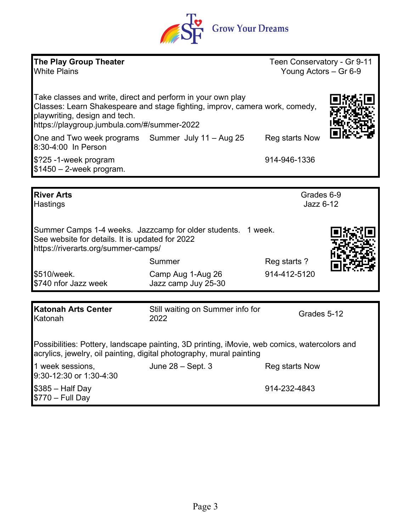

| <b>The Play Group Theater</b><br><b>White Plains</b>                                                                                                                 |                                                                                                                                            | Teen Conservatory - Gr 9-11<br>Young Actors - Gr 6-9 |  |
|----------------------------------------------------------------------------------------------------------------------------------------------------------------------|--------------------------------------------------------------------------------------------------------------------------------------------|------------------------------------------------------|--|
| playwriting, design and tech.<br>https://playgroup.jumbula.com/#/summer-2022                                                                                         | Take classes and write, direct and perform in your own play<br>Classes: Learn Shakespeare and stage fighting, improv, camera work, comedy, |                                                      |  |
| 8:30-4:00 In Person                                                                                                                                                  | One and Two week programs Summer July 11 - Aug 25                                                                                          | Reg starts Now                                       |  |
| \$?25 -1-week program<br>$$1450 - 2$ -week program.                                                                                                                  |                                                                                                                                            | 914-946-1336                                         |  |
|                                                                                                                                                                      |                                                                                                                                            |                                                      |  |
| <b>River Arts</b><br>Hastings                                                                                                                                        |                                                                                                                                            | Grades 6-9<br>Jazz 6-12                              |  |
| Summer Camps 1-4 weeks. Jazzcamp for older students.<br>1 week.<br>See website for details. It is updated for 2022<br>https://riverarts.org/summer-camps/            |                                                                                                                                            |                                                      |  |
|                                                                                                                                                                      | Summer                                                                                                                                     | Reg starts ?                                         |  |
| \$510/week.<br>\$740 nfor Jazz week                                                                                                                                  | Camp Aug 1-Aug 26<br>Jazz camp Juy 25-30                                                                                                   | 914-412-5120                                         |  |
|                                                                                                                                                                      |                                                                                                                                            |                                                      |  |
| <b>Katonah Arts Center</b><br>Katonah                                                                                                                                | Still waiting on Summer info for<br>2022                                                                                                   | Grades 5-12                                          |  |
| Possibilities: Pottery, landscape painting, 3D printing, iMovie, web comics, watercolors and<br>acrylics, jewelry, oil painting, digital photography, mural painting |                                                                                                                                            |                                                      |  |
| 1 week sessions,<br>9:30-12:30 or 1:30-4:30                                                                                                                          | June $28 - Sept. 3$                                                                                                                        | Reg starts Now                                       |  |
| $$385 - Half Day$<br>$$770 - Full Day$                                                                                                                               |                                                                                                                                            | 914-232-4843                                         |  |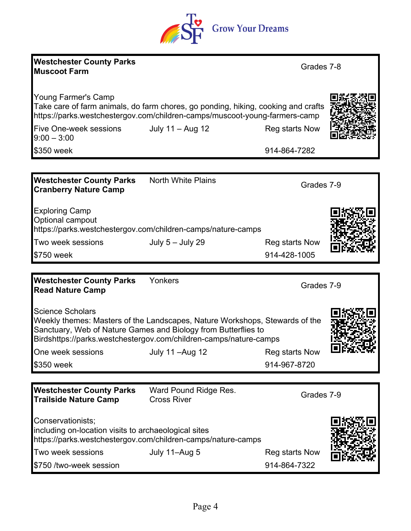|                                                                 | <b>Grow Your Dreams</b>                                                                                                                                                                                            |                |  |
|-----------------------------------------------------------------|--------------------------------------------------------------------------------------------------------------------------------------------------------------------------------------------------------------------|----------------|--|
| <b>Westchester County Parks</b><br><b>Muscoot Farm</b>          |                                                                                                                                                                                                                    | Grades 7-8     |  |
| Young Farmer's Camp                                             | Take care of farm animals, do farm chores, go ponding, hiking, cooking and crafts<br>https://parks.westchestergov.com/children-camps/muscoot-young-farmers-camp                                                    |                |  |
| Five One-week sessions<br>$9:00 - 3:00$                         | July 11 - Aug 12                                                                                                                                                                                                   | Reg starts Now |  |
| \$350 week                                                      |                                                                                                                                                                                                                    | 914-864-7282   |  |
|                                                                 |                                                                                                                                                                                                                    |                |  |
| <b>Westchester County Parks</b><br><b>Cranberry Nature Camp</b> | <b>North White Plains</b>                                                                                                                                                                                          | Grades 7-9     |  |
| <b>Exploring Camp</b><br>Optional campout                       | https://parks.westchestergov.com/children-camps/nature-camps                                                                                                                                                       |                |  |
| Two week sessions                                               | July 5 - July 29                                                                                                                                                                                                   | Reg starts Now |  |
| \$750 week                                                      |                                                                                                                                                                                                                    | 914-428-1005   |  |
|                                                                 |                                                                                                                                                                                                                    |                |  |
| <b>Westchester County Parks</b><br><b>Read Nature Camp</b>      | Yonkers                                                                                                                                                                                                            | Grades 7-9     |  |
| <b>Science Scholars</b>                                         | Weekly themes: Masters of the Landscapes, Nature Workshops, Stewards of the<br>Sanctuary, Web of Nature Games and Biology from Butterflies to<br>Birdshttps://parks.westchestergov.com/children-camps/nature-camps |                |  |
| One week sessions                                               | July 11 - Aug 12                                                                                                                                                                                                   | Reg starts Now |  |
| \$350 week                                                      |                                                                                                                                                                                                                    | 914-967-8720   |  |

| <b>Westchester County Parks</b><br>Trailside Nature Camp                  | Ward Pound Ridge Res.<br><b>Cross River</b>                  | Grades 7-9     |      |
|---------------------------------------------------------------------------|--------------------------------------------------------------|----------------|------|
| Conservationists;<br>including on-location visits to archaeological sites | https://parks.westchestergov.com/children-camps/nature-camps |                | 回然殺回 |
| Two week sessions                                                         | July 11-Aug 5                                                | Reg starts Now |      |
| \$750 /two-week session                                                   |                                                              | 914-864-7322   |      |